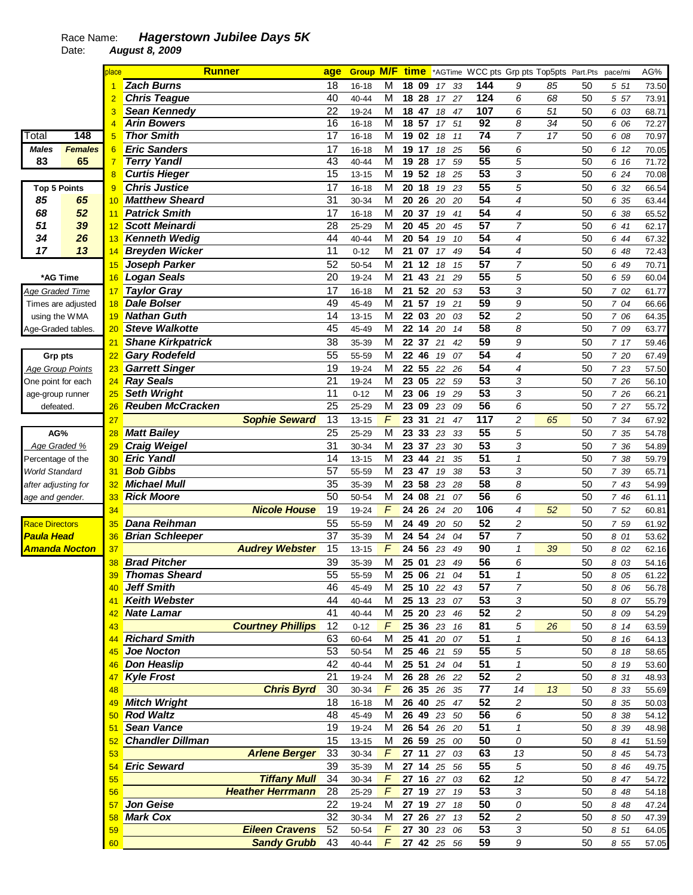## Race Name: **Hagerstown Jubilee Days 5K**

Date: **August 8, 2009** 

|                         |                    | place           | <b>Runner</b>            |                          | age             |           |                         |               |             |    |                       | <b>Group M/F time</b> *AGTime WCC pts Grp pts Top5pts Part.Pts |    |    | pace/mi | AG%   |
|-------------------------|--------------------|-----------------|--------------------------|--------------------------|-----------------|-----------|-------------------------|---------------|-------------|----|-----------------------|----------------------------------------------------------------|----|----|---------|-------|
|                         |                    |                 | <b>Zach Burns</b>        |                          | 18              | 16-18     | M                       | 18<br>09      | 17          | 33 | 144                   | 9                                                              | 85 | 50 | 5 51    | 73.50 |
|                         |                    | $\overline{2}$  | <b>Chris Teague</b>      |                          | 40              | 40-44     | M                       | 18 28         | 17          | 27 | 124                   | 6                                                              | 68 | 50 | 5 57    | 73.91 |
|                         |                    | 3               | Sean Kennedy             |                          | 22              | 19-24     | M                       | 18 47         | 18          | 47 | 107                   | 6                                                              | 51 | 50 | 6 03    | 68.71 |
|                         |                    |                 | <b>Arin Bowers</b>       |                          | 16              | $16 - 18$ | M                       | 18 57         | 17          | 51 | 92                    | 8                                                              | 34 | 50 | 6 06    | 72.27 |
| Total                   | 148                | 5               | <b>Thor Smith</b>        |                          | 17              | $16 - 18$ | M                       | 19<br>02      | 18          | 11 | 74                    | $\overline{7}$                                                 | 17 | 50 | 6 08    | 70.97 |
| <b>Males</b>            | <b>Females</b>     | 6               | <b>Eric Sanders</b>      |                          | 17              | 16-18     | M                       | 19 17         | 18          | 25 | 56                    | 6                                                              |    | 50 | 6 12    | 70.05 |
| 83                      | 65                 | 7               | <b>Terry Yandl</b>       |                          | 43              | $40 - 44$ | M                       | 19<br>28      | 17          | 59 | 55                    | 5                                                              |    | 50 | 6 16    | 71.72 |
|                         |                    | $\overline{8}$  | <b>Curtis Hieger</b>     |                          | 15              | 13-15     | M                       | 19 52         | 18          | 25 | $\overline{53}$       | 3                                                              |    | 50 | 6 24    | 70.08 |
| <b>Top 5 Points</b>     |                    | 9               | <b>Chris Justice</b>     |                          | 17              | 16-18     | M                       | 20<br>18      | 19          | 23 | $\overline{55}$       | 5                                                              |    | 50 | 6 32    | 66.54 |
| 85                      | 65                 | 10              | <b>Matthew Sheard</b>    |                          | 31              | 30-34     | M                       | 20<br>26      | 20          | 20 | 54                    | 4                                                              |    | 50 | 6 35    | 63.44 |
| 68                      | 52                 | 11              | <b>Patrick Smith</b>     |                          | 17              | $16 - 18$ | M                       | 20<br>37      | 19          | 41 | 54                    | 4                                                              |    | 50 | 6 38    | 65.52 |
| 51                      | 39                 | 12              | <b>Scott Meinardi</b>    |                          | 28              | 25-29     | M                       | 20<br>45      | 20          | 45 | 57                    | $\overline{7}$                                                 |    | 50 | 6 41    | 62.17 |
| 34                      | 26                 | 13              | <b>Kenneth Wedig</b>     |                          | 44              | 40-44     | M                       | 20 54         | 19          | 10 | 54                    | 4                                                              |    | 50 | 6 44    | 67.32 |
| 17                      | 13                 | 14              | <b>Breyden Wicker</b>    |                          | 11              | $0 - 12$  | M                       | 21<br>07      | 17          | 49 | 54                    | 4                                                              |    | 50 | 6 48    | 72.43 |
|                         |                    | 15              | Joseph Parker            |                          | 52              | 50-54     | М                       | 21<br>12      | 18          | 15 | 57                    | $\overline{7}$                                                 |    | 50 | 6 49    | 70.71 |
| *AG Time                |                    | 16              | <b>Logan Seals</b>       |                          | $\overline{20}$ | 19-24     | M                       | 21<br>43      | 21          | 29 | 55                    | 5                                                              |    | 50 | 6 59    | 60.04 |
| <u> Age Graded Time</u> |                    | 17              | <b>Taylor Gray</b>       |                          | 17              | 16-18     | M                       | 52<br>21      | 20          | 53 | 53                    | 3                                                              |    | 50 | 7 02    | 61.77 |
|                         | Times are adjusted | 18              | <b>Dale Bolser</b>       |                          | 49              | 45-49     | M                       | 21 57         | 19          | 21 | 59                    | 9                                                              |    | 50 | 7 04    | 66.66 |
| using the WMA           |                    | 19              | <b>Nathan Guth</b>       |                          | 14              | $13 - 15$ | M                       | 22 03         | 20          | 03 | 52                    | 2                                                              |    | 50 | 7 06    | 64.35 |
|                         |                    | 20              | <b>Steve Walkotte</b>    |                          | 45              | 45-49     | M                       | 22 14         | 20          | 14 | 58                    | 8                                                              |    | 50 | 7 09    | 63.77 |
| Age-Graded tables       |                    | 21              | <b>Shane Kirkpatrick</b> |                          | 38              | 35-39     | M                       | 22 37         | 21          | 42 | 59                    | 9                                                              |    | 50 | 7 17    | 59.46 |
|                         |                    |                 | <b>Gary Rodefeld</b>     |                          | 55              |           | M                       | 22 46         |             | 07 | 54                    | 4                                                              |    | 50 |         |       |
| <b>Grp pts</b>          |                    | 22              |                          |                          |                 | 55-59     |                         |               | 19          |    |                       |                                                                |    |    | 7 20    | 67.49 |
| <b>Age Group Points</b> |                    | 23              | <b>Garrett Singer</b>    |                          | 19              | 19-24     | M                       | 22 55         | 22          | 26 | 54<br>53              | 4                                                              |    | 50 | 7 23    | 57.50 |
| One point for each      |                    | 24              | <b>Ray Seals</b>         |                          | 21              | 19-24     | M                       | 23 05         | 22          | 59 |                       | 3                                                              |    | 50 | 7 26    | 56.10 |
| age-group runner        |                    | 25              | <b>Seth Wright</b>       |                          | 11<br>25        | $0 - 12$  | M<br>M                  | 23<br>06      | 19          | 29 | 53<br>$\overline{56}$ | 3                                                              |    | 50 | 7 26    | 66.21 |
| defeated.               |                    | 26              | <b>Reuben McCracken</b>  |                          |                 | 25-29     |                         | 23<br>09      | 23          | 09 |                       | 6                                                              |    | 50 | 7 27    | 55.72 |
|                         |                    | 27              |                          | <b>Sophie Seward</b>     | 13              | $13 - 15$ | F                       | 23<br>31      | 21          | 47 | $\overline{117}$      | 2                                                              | 65 | 50 | 7 34    | 67.92 |
| AG%                     |                    | 28              | <b>Matt Bailey</b>       |                          | 25              | 25-29     | M                       | 23<br>33      | 23          | 33 | 55                    | 5                                                              |    | 50 | 7 35    | 54.78 |
| Age Graded %            |                    | 29              | <b>Craig Weigel</b>      |                          | 31              | 30-34     | M                       | 23<br>37      | 23          | 30 | 53                    | 3                                                              |    | 50 | 7 36    | 54.89 |
| Percentage of the       |                    | 30              | <b>Eric Yandl</b>        |                          | 14              | $13 - 15$ | M                       | 23<br>44      | 21          | 35 | 51                    | $\mathcal I$                                                   |    | 50 | 7 38    | 59.79 |
| <b>World Standard</b>   |                    | 31              | <b>Bob Gibbs</b>         |                          | 57              | 55-59     | M                       | 23 47         | 19          | 38 | 53                    | 3                                                              |    | 50 | 7 39    | 65.71 |
| after adjusting for     |                    | 32              | <b>Michael Mull</b>      |                          | 35              | 35-39     | M                       | 58<br>23      | 23          | 28 | 58                    | 8                                                              |    | 50 | 7 43    | 54.99 |
| age and gender.         |                    | 33              | <b>Rick Moore</b>        |                          | 50              | 50-54     | M                       | 24<br>08      | 21          | 07 | 56                    | 6                                                              |    | 50 | 7 46    | 61.11 |
|                         |                    | 34              |                          | <b>Nicole House</b>      | 19              | 19-24     | F                       | 24<br>26      | 24          | 20 | 106                   | 4                                                              | 52 | 50 | 7 52    | 60.81 |
| <b>Race Directors</b>   |                    | 35              | Dana Reihman             |                          | 55              | 55-59     | M                       | 24<br>49      | 20          | 50 | 52                    | 2                                                              |    | 50 | 7 59    | 61.92 |
| <b>Paula Head</b>       |                    | 36              | <b>Brian Schleeper</b>   |                          | 37              | 35-39     | M                       | 24<br>54      | 24          | 04 | 57                    | 7                                                              |    | 50 | 8 01    | 53.62 |
| <u>Amanda Nocton</u>    |                    | 37              |                          | <b>Audrey Webster</b>    | 15              | $13 - 15$ | F                       | 24<br>56      | 23          | 49 | 90                    | $\mathbf{1}$                                                   | 39 | 50 | 8 02    | 62.16 |
|                         |                    | 38              | <b>Brad Pitcher</b>      |                          | 39              | 35-39     | M                       | 25 01         | 23          | 49 | 56                    | 6                                                              |    | 50 | 8 03    | 54.16 |
|                         |                    |                 | <b>Thomas Sheard</b>     |                          | 55              | 55-59     | $\overline{\mathsf{M}}$ |               | 25 06 21 04 |    | $\overline{51}$       | $\boldsymbol{\mathcal{L}}$                                     |    | 50 | 8 05    | 61.22 |
|                         |                    | 40              | Jeff Smith               |                          | 46              | 45-49     | м                       |               | 25 10 22 43 |    | 57                    | $\overline{7}$                                                 |    | 50 | 8 0 6   | 56.78 |
|                         |                    | 41              | <b>Keith Webster</b>     |                          | 44              | 40-44     | М                       |               | 25 13 23 07 |    | 53                    | 3                                                              |    | 50 | 8 07    | 55.79 |
|                         |                    | 42              | Nate Lamar               |                          | 41              | 40-44     | M                       |               | 25 20 23 46 |    | 52                    | 2                                                              |    | 50 | 8 0 9   | 54.29 |
|                         |                    | 43              |                          | <b>Courtney Phillips</b> | 12              | $0 - 12$  | F                       | 25 36 23      |             | 16 | 81                    | 5                                                              | 26 | 50 | 8 14    | 63.59 |
|                         |                    | 44              | <b>Richard Smith</b>     |                          | 63              | 60-64     | М                       |               | 25 41 20 07 |    | 51                    | $\mathcal I$                                                   |    | 50 | 8 16    | 64.13 |
|                         |                    | 45              | Joe Nocton               |                          | 53              | 50-54     | М                       |               | 25 46 21 59 |    | 55                    | 5                                                              |    | 50 | 8 18    | 58.65 |
|                         |                    |                 | Don Heaslip              |                          | 42              | 40-44     | M                       |               | 25 51 24 04 |    | 51                    | $\pmb{\mathcal{1}}$                                            |    | 50 | 8 19    | 53.60 |
|                         |                    | 47              | <b>Kyle Frost</b>        |                          | 21              | 19-24     | M                       |               | 26 28 26 22 |    | 52                    | $\overline{c}$                                                 |    | 50 | 8 31    | 48.93 |
|                         |                    | 48              |                          | <b>Chris Byrd</b>        | 30              | 30-34     | $\digamma$              |               | 26 35 26 35 |    | 77                    | 14                                                             | 13 | 50 | 8 3 3   | 55.69 |
|                         |                    |                 | 49 Mitch Wright          |                          | 18              | $16 - 18$ | M                       | 26 40         | 25 47       |    | 52                    | 2                                                              |    | 50 | 8 35    | 50.03 |
|                         |                    | 50 <sub>2</sub> | <b>Rod Waltz</b>         |                          | 48              | 45-49     | М                       |               | 26 49 23 50 |    | 56                    | 6                                                              |    | 50 | 8 38    | 54.12 |
|                         |                    | 51              | <b>Sean Vance</b>        |                          | 19              | 19-24     | M                       |               | 26 54 26 20 |    | 51                    | $\mathbf{1}$                                                   |    | 50 | 8 3 9   | 48.98 |
|                         |                    | 52 <sub>2</sub> | <b>Chandler Dillman</b>  |                          | 15              | $13 - 15$ | М                       |               | 26 59 25 00 |    | 50                    | 0                                                              |    | 50 | 8 41    | 51.59 |
|                         |                    | 53              |                          | <b>Arlene Berger</b>     | 33              | 30-34     | F                       |               | 27 11 27 03 |    | 63                    | 13                                                             |    | 50 | 8 45    | 54.73 |
|                         |                    |                 | 54 Eric Seward           |                          | 39              | 35-39     | м                       |               | 27 14 25 56 |    | 55                    | 5                                                              |    | 50 | 8 4 6   | 49.75 |
|                         |                    | 55              |                          | <b>Tiffany Mull</b>      | 34              | 30-34     | $\digamma$              |               | 27 16 27 03 |    | 62                    | 12                                                             |    | 50 | 8 47    | 54.72 |
|                         |                    | 56              |                          | <b>Heather Herrmann</b>  | 28              | 25-29     | $\digamma$              |               | 27 19 27 19 |    | 53                    | 3                                                              |    | 50 | 8 48    | 54.18 |
|                         |                    |                 | 57 Jon Geise             |                          | 22              | 19-24     | М                       |               | 27 19 27 18 |    | 50                    | 0                                                              |    | 50 | 8 48    | 47.24 |
|                         |                    | 58              | <b>Mark Cox</b>          |                          | 32              | 30-34     | М                       |               | 27 26 27 13 |    | 52                    | 2                                                              |    | 50 | 8 50    | 47.39 |
|                         |                    | 59              |                          | <b>Eileen Cravens</b>    | 52              | 50-54     | $\digamma$              |               | 27 30 23 06 |    | 53                    | 3                                                              |    | 50 | 8 51    | 64.05 |
|                         |                    | 60              |                          | <b>Sandy Grubb</b>       | 43              | 40-44     |                         | F 27 42 25 56 |             |    | 59                    | 9                                                              |    | 50 | 8 5 5   | 57.05 |
|                         |                    |                 |                          |                          |                 |           |                         |               |             |    |                       |                                                                |    |    |         |       |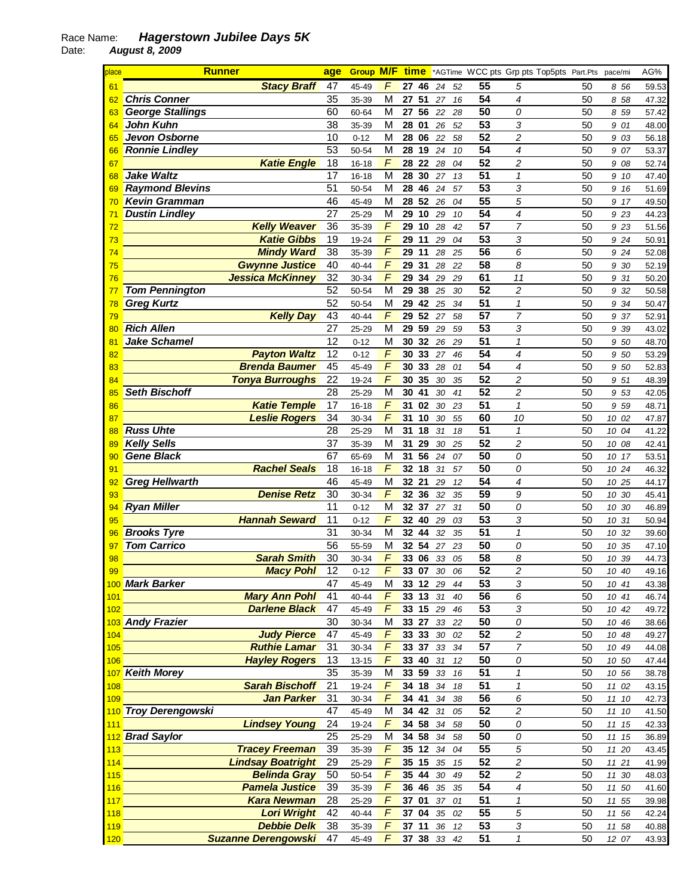## Race Name: **Hagerstown Jubilee Days 5K**

Date: **August 8, 2009** 

| place      | <b>Runner</b>              |                          | age             | <b>Group M/F time</b> |                         |                 |    |              |                 | *AGTime WCC pts Grp pts Top5pts Part.Pts |    | pace/mi | AG%   |
|------------|----------------------------|--------------------------|-----------------|-----------------------|-------------------------|-----------------|----|--------------|-----------------|------------------------------------------|----|---------|-------|
| 61         |                            | <b>Stacy Braff</b>       | 47              | 45-49                 | F                       | 27<br>46        |    | 24<br>52     | 55              | 5                                        | 50 | 8 56    | 59.53 |
| 62         | <b>Chris Conner</b>        |                          | 35              | 35-39                 | M                       | 51<br>27        |    | 16<br>27     | 54              | $\overline{\mathcal{A}}$                 | 50 | 8 58    | 47.32 |
| 63         | <b>George Stallings</b>    |                          | 60              | 60-64                 | M                       | 27 56           |    | 22<br>28     | 50              | 0                                        | 50 | 8 59    | 57.42 |
| 64         | <b>John Kuhn</b>           |                          | 38              | 35-39                 | M                       | 28 01           |    | 52<br>26     | 53              | 3                                        | 50 | 9 01    | 48.00 |
| 65         | Jevon Osborne              |                          | 10              | $0 - 12$              | M                       | 28<br>06        |    | 22<br>58     | 52              | $\overline{c}$                           | 50 | 9 03    | 56.18 |
| 66         | <b>Ronnie Lindley</b>      |                          | 53              | 50-54                 | M                       | 28<br>19        |    | 24<br>10     | 54              | 4                                        | 50 | 9 07    | 53.37 |
| 67         |                            | <b>Katie Engle</b>       | 18              | $16 - 18$             | F                       | 22<br>28        |    | 28<br>04     | 52              | 2                                        | 50 | 9 08    | 52.74 |
| 68         | <b>Jake Waltz</b>          |                          | 17              | $16 - 18$             | M                       | 30<br>28        |    | 27<br>13     | $\overline{51}$ | $\mathcal I$                             | 50 | 9<br>10 | 47.40 |
| 69         | <b>Raymond Blevins</b>     |                          | 51              | 50-54                 | M                       | 46<br>28        |    | 24<br>57     | $\overline{53}$ | 3                                        | 50 | 9 16    | 51.69 |
|            | <b>Kevin Gramman</b>       |                          | 46              | 45-49                 | M                       | 28<br>52        |    | 26<br>04     | $\overline{55}$ | 5                                        | 50 | 9 17    |       |
| 70         |                            |                          | 27              |                       |                         |                 |    |              | $\overline{54}$ | 4                                        |    |         | 49.50 |
| 71         | <b>Dustin Lindley</b>      |                          |                 | 25-29                 | M<br>$\overline{F}$     | 29<br>10        |    | 29<br>10     |                 |                                          | 50 | 9 23    | 44.23 |
| 72         |                            | <b>Kelly Weaver</b>      | 36              | 35-39                 |                         | 29<br>10        |    | 28<br>42     | 57              | $\overline{7}$                           | 50 | 9 23    | 51.56 |
| 73         |                            | <b>Katie Gibbs</b>       | 19              | 19-24                 | $\overline{F}$          | 11<br>29        |    | 29<br>04     | 53              | 3                                        | 50 | 9 24    | 50.91 |
| 74         |                            | <b>Mindy Ward</b>        | 38              | 35-39                 | F                       | 29<br>11        |    | 28<br>25     | 56              | 6                                        | 50 | 9 24    | 52.08 |
| 75         |                            | <b>Gwynne Justice</b>    | 40              | 40-44                 | F                       | 31<br>29        |    | 22<br>28     | 58              | 8                                        | 50 | 9 30    | 52.19 |
| 76         |                            | <b>Jessica McKinney</b>  | 32              | 30-34                 | F                       | 29<br>34        |    | 29<br>29     | 61              | 11                                       | 50 | 9 31    | 50.20 |
| 77         | <b>Tom Pennington</b>      |                          | 52              | 50-54                 | M                       | 29<br>38        |    | 25<br>30     | 52              | 2                                        | 50 | 9 32    | 50.58 |
| 78         | <b>Greg Kurtz</b>          |                          | 52              | 50-54                 | M                       | 29              | 42 | 25<br>34     | 51              | $\mathbf{1}$                             | 50 | 9 34    | 50.47 |
| 79         |                            | <b>Kelly Day</b>         | 43              | $40 - 44$             | F                       | 52<br>29        |    | 27<br>58     | $\overline{57}$ | $\overline{7}$                           | 50 | 37<br>9 | 52.91 |
| 80         | <b>Rich Allen</b>          |                          | 27              | 25-29                 | M                       | 29<br>59        |    | 29<br>59     | $\overline{53}$ | 3                                        | 50 | 39<br>9 | 43.02 |
| 81         | <b>Jake Schamel</b>        |                          | $\overline{12}$ | $0 - 12$              | $\overline{\mathsf{M}}$ | 30              | 32 | 26<br>29     | $\overline{51}$ | $\mathbf{1}$                             | 50 | 9 50    | 48.70 |
| 82         |                            | <b>Payton Waltz</b>      | $\overline{12}$ | $0 - 12$              | $\overline{F}$          | 30              | 33 | 27<br>46     | $\overline{54}$ | 4                                        | 50 | 9 50    | 53.29 |
| 83         |                            | <b>Brenda Baumer</b>     | 45              | 45-49                 | F                       | 33<br>30        |    | 28<br>01     | $\overline{54}$ | 4                                        | 50 | 9 50    | 52.83 |
| 84         |                            | <b>Tonya Burroughs</b>   | 22              | 19-24                 | F                       | 30<br>35        |    | 35<br>30     | $\overline{52}$ | $\overline{\mathbf{c}}$                  | 50 | 9 51    | 48.39 |
| 85         | <b>Seth Bischoff</b>       |                          | 28              | 25-29                 | M                       | 41<br>30        |    | 30<br>41     | 52              | $\overline{c}$                           | 50 | 9 53    | 42.05 |
| 86         |                            | <b>Katie Temple</b>      | 17              | $16 - 18$             | F                       | 31<br>02        |    | 30<br>23     | $\overline{51}$ | $\mathbf{1}$                             | 50 | 9 5 9   | 48.71 |
| 87         |                            | <b>Leslie Rogers</b>     | 34              | 30-34                 | F                       | 31              | 10 | 30<br>55     | 60              | 10                                       | 50 | 10 02   | 47.87 |
| 88         | <b>Russ Uhte</b>           |                          | 28              | 25-29                 | M                       | 31<br>18        |    | 31<br>18     | 51              | $\mathbf{1}$                             | 50 | 10 04   | 41.22 |
| 89         | <b>Kelly Sells</b>         |                          | 37              | 35-39                 | M                       | 31<br>29        |    | 25<br>30     | 52              | $\overline{c}$                           | 50 | 10 08   | 42.41 |
| 90         | <b>Gene Black</b>          |                          | 67              | 65-69                 | M                       | 56<br>31        |    | 24<br>07     | 50              | 0                                        | 50 | 10 17   | 53.51 |
| 91         |                            | <b>Rachel Seals</b>      | 18              | $16 - 18$             | F                       | 18<br>32        |    | 57<br>31     | 50              | 0                                        | 50 | 10 24   | 46.32 |
| 92         | <b>Greg Hellwarth</b>      |                          | 46              | 45-49                 | М                       | 32<br>21        |    | 29<br>12     | 54              | 4                                        | 50 | 10 25   | 44.17 |
| 93         |                            | <b>Denise Retz</b>       | 30              | 30-34                 | F                       | 32 36           |    | 32<br>35     | 59              | 9                                        | 50 | 10 30   | 45.41 |
| 94         | <b>Ryan Miller</b>         |                          | 11              | $0 - 12$              | M                       | 32 37           |    | 31<br>27     | 50              | 0                                        | 50 | 10 30   | 46.89 |
| 95         |                            | <b>Hannah Seward</b>     | 11              | $0 - 12$              | F                       | 32 40           |    | 29<br>03     | $\overline{53}$ | 3                                        | 50 | 10 31   | 50.94 |
| 96         | <b>Brooks Tyre</b>         |                          | 31              | 30-34                 | M                       | 32 44           |    | 32<br>35     | $\overline{51}$ | $\mathbf{1}$                             | 50 | 10 32   | 39.60 |
| 97         | <b>Tom Carrico</b>         |                          | 56              | 55-59                 | M                       | 32 54           |    | 23<br>27     | 50              | 0                                        | 50 | 10 35   | 47.10 |
| 98         |                            | <b>Sarah Smith</b>       | 30              | 30-34                 | $\overline{F}$          | 33 06           |    | 33<br>05     | 58              | 8                                        | 50 | 10 39   | 44.73 |
| 99         |                            | <b>Macy Pohl</b>         | 12              | $0 - 12$              | F                       | 33 07           |    | 30<br>06     | 52              | $\overline{a}$                           | 50 |         |       |
|            |                            |                          |                 |                       |                         |                 |    |              |                 |                                          |    | 10 40   | 49.16 |
|            | 100 Mark Barker            |                          | 47              | 45-49                 | м                       | <b>33 12</b> 29 |    | 44           | 53              | 3                                        | 50 | 10 41   | 43.38 |
| 101        |                            | <b>Mary Ann Pohl</b>     | 41              | 40-44                 | F                       | 33 13           |    | 31<br>40     | 56              | 6                                        | 50 | 10 41   | 46.74 |
| 102        |                            | <b>Darlene Black</b>     | 47              | 45-49                 | $\digamma$              | 33 15 29        |    | 46           | 53              | 3                                        | 50 | 10 42   | 49.72 |
|            | 103 Andy Frazier           |                          | 30              | 30-34                 | M                       | 33 27           |    | 33 22        | 50              | 0                                        | 50 | 10 46   | 38.66 |
| 104        |                            | <b>Judy Pierce</b>       | 47              | 45-49                 | $\sqrt{2}$              | 33 33           |    | $30\,$<br>02 | 52              | $\overline{c}$                           | 50 | 10 48   | 49.27 |
| 105        |                            | <b>Ruthie Lamar</b>      | 31              | 30-34                 | $\overline{F}$          | 33 37           |    | 33<br>34     | 57              | $\overline{7}$                           | 50 | 10 49   | 44.08 |
| 106        |                            | <b>Hayley Rogers</b>     | 13              | $13 - 15$             | $\overline{F}$          | 33 40           |    | 31<br>12     | 50              | 0                                        | 50 | 10 50   | 47.44 |
|            | 107 Keith Morey            |                          | 35              | 35-39                 | M                       | 33 59           |    | 33<br>16     | 51              | $\boldsymbol{\mathcal{L}}$               | 50 | 10 56   | 38.78 |
| 108        |                            | <b>Sarah Bischoff</b>    | 21              | 19-24                 | $\sqrt{2}$              | 34 18           |    | 34<br>18     | 51              | $\boldsymbol{\mathcal{L}}$               | 50 | 11 02   | 43.15 |
| 109        |                            | <b>Jan Parker</b>        | 31              | 30-34                 | $\sqrt{2}$              | 34 41           |    | 34<br>38     | 56              | 6                                        | 50 | 11 10   | 42.73 |
|            | 110 Troy Derengowski       |                          | 47              | 45-49                 | M                       | 34 42           |    | 31<br>05     | 52              | $\overline{\mathbf{c}}$                  | 50 | 11 10   | 41.50 |
| 111        |                            | <b>Lindsey Young</b>     | 24              | 19-24                 | $\sqrt{2}$              | 34 58           |    | 34<br>58     | 50              | 0                                        | 50 | 11 15   | 42.33 |
|            | 112 Brad Saylor            |                          | 25              | 25-29                 | M                       | 34 58           |    | 34<br>58     | 50              | 0                                        | 50 | 11 15   | 36.89 |
| 113        |                            | <b>Tracey Freeman</b>    | 39              | 35-39                 | $\sqrt{2}$              | 35 12           |    | 34<br>04     | 55              | 5                                        | 50 | 11 20   | 43.45 |
| 114        |                            | <b>Lindsay Boatright</b> | 29              | 25-29                 | $\overline{F}$          | 35 15           |    | 35<br>15     | 52              | 2                                        | 50 | 11 21   | 41.99 |
| 115        |                            | <b>Belinda Gray</b>      | 50              | 50-54                 | $\sqrt{2}$              | 35 44           |    | 30<br>49     | 52              | 2                                        | 50 | 11 30   | 48.03 |
| 116        |                            | <b>Pamela Justice</b>    | 39              | 35-39                 | $\sqrt{2}$              | 36 46           |    | 35<br>35     | 54              | 4                                        | 50 | 11 50   | 41.60 |
| 117        |                            | <b>Kara Newman</b>       | 28              | 25-29                 | F                       | 37 01           |    | 37 01        | 51              | 1                                        | 50 | 11 55   | 39.98 |
| <b>118</b> |                            | <b>Lori Wright</b>       | 42              | $40 - 44$             | F                       | 37 04           |    | 35<br>02     | 55              | 5                                        | 50 | 11 56   | 42.24 |
| 119        |                            | <b>Debbie Delk</b>       | 38              | 35-39                 | F                       | 37 11           |    | 36<br>12     | 53              | 3                                        | 50 | 11 58   | 40.88 |
| 120        | <b>Suzanne Derengowski</b> |                          | 47              | 45-49                 | F                       | 37 38 33        |    | 42           | 51              | $\mathbf{1}$                             | 50 | 12 07   | 43.93 |